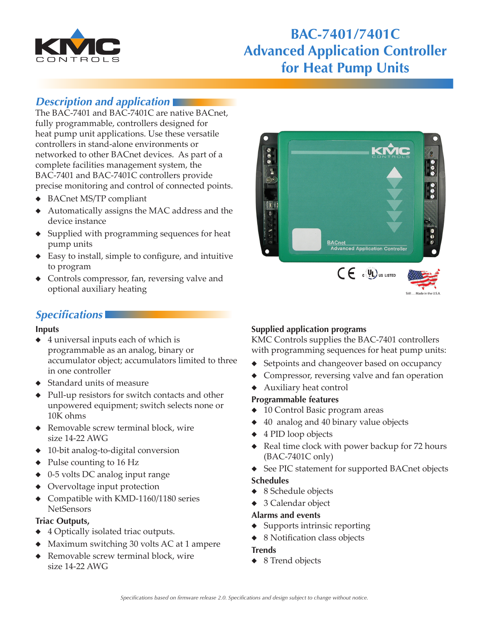

# **BAC-7401/7401C Advanced Application Controller for Heat Pump Units**

# *Description and application*

The BAC-7401 and BAC-7401C are native BACnet, fully programmable, controllers designed for heat pump unit applications. Use these versatile controllers in stand‑alone environments or networked to other BACnet devices. As part of a complete facilities management system, the BAC-7401 and BAC-7401C controllers provide precise monitoring and control of connected points.

- ◆ BACnet MS/TP compliant
- ◆ Automatically assigns the MAC address and the device instance
- ◆ Supplied with programming sequences for heat pump units
- ◆ Easy to install, simple to configure, and intuitive to program
- ◆ Controls compressor, fan, reversing valve and optional auxiliary heating

# *Specifications*

### **Inputs**

- ◆ 4 universal inputs each of which is programmable as an analog, binary or accumulator object; accumulators limited to three in one controller
- ◆ Standard units of measure
- ◆ Pull-up resistors for switch contacts and other unpowered equipment; switch selects none or 10K ohms
- ◆ Removable screw terminal block, wire size 14-22 AWG
- ◆ 10-bit analog-to-digital conversion
- ◆ Pulse counting to 16 Hz
- ◆ 0-5 volts DC analog input range
- ◆ Overvoltage input protection
- Compatible with KMD-1160/1180 series **NetSensors**

### **Triac Outputs,**

- 4 Optically isolated triac outputs.
- Maximum switching 30 volts AC at 1 ampere
- Removable screw terminal block, wire size 14-22 AWG



### **Supplied application programs**

KMC Controls supplies the BAC-7401 controllers with programming sequences for heat pump units:

- ◆ Setpoints and changeover based on occupancy
- ◆ Compressor, reversing valve and fan operation
- ◆ Auxiliary heat control

### **Programmable features**

- ◆ 10 Control Basic program areas
- ◆ 40 analog and 40 binary value objects
- ◆ 4 PID loop objects
- ◆ Real time clock with power backup for 72 hours (BAC-7401C only)
- ◆ See PIC statement for supported BACnet objects

### **Schedules**

- ◆ 8 Schedule objects
- ◆ 3 Calendar object

### **Alarms and events**

- ◆ Supports intrinsic reporting
- ◆ 8 Notification class objects

### **Trends**

◆ 8 Trend objects